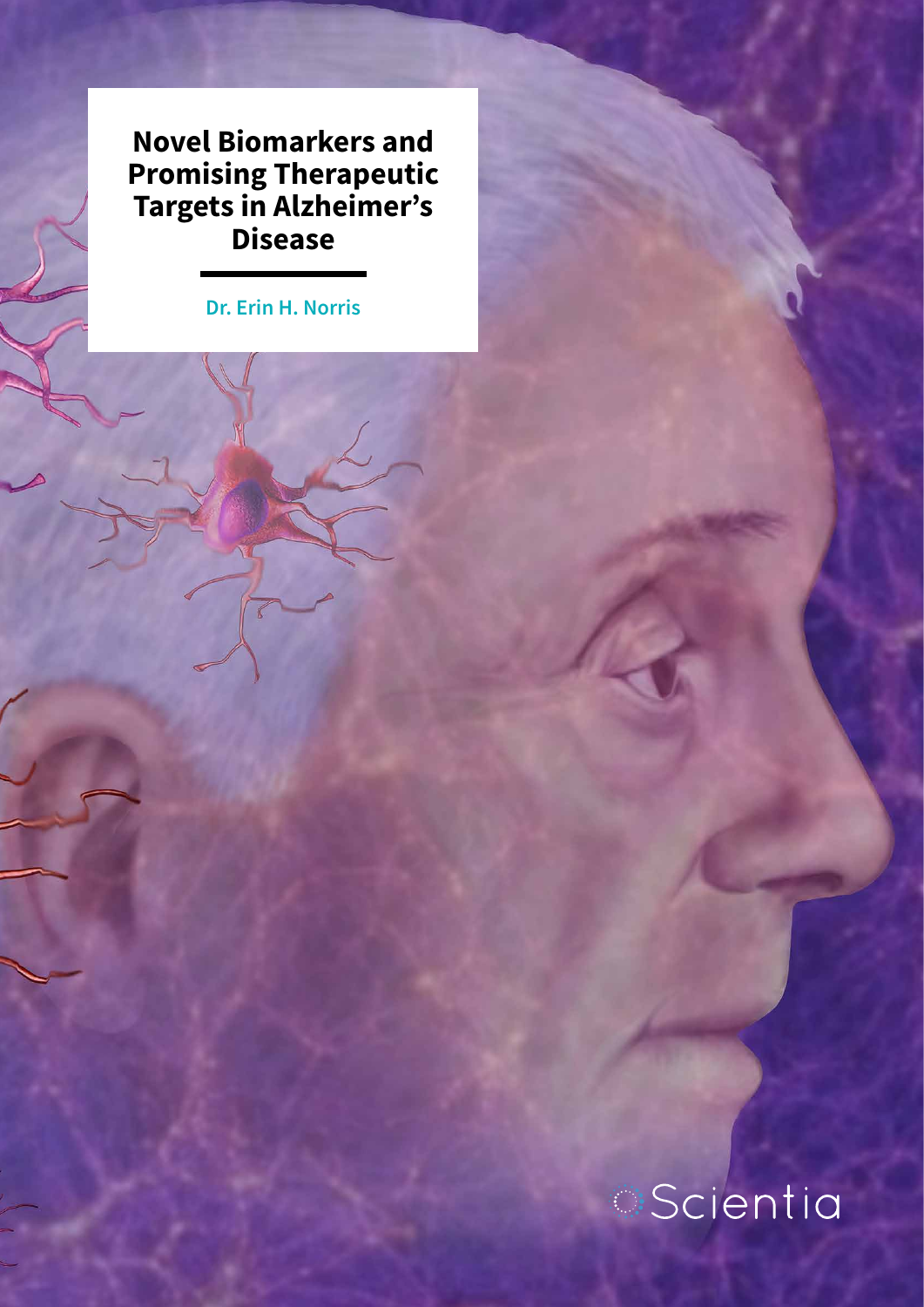**Novel Biomarkers and Promising Therapeutic Targets in Alzheimer's Disease**

**Dr. Erin H. Norris**

# *Scientia*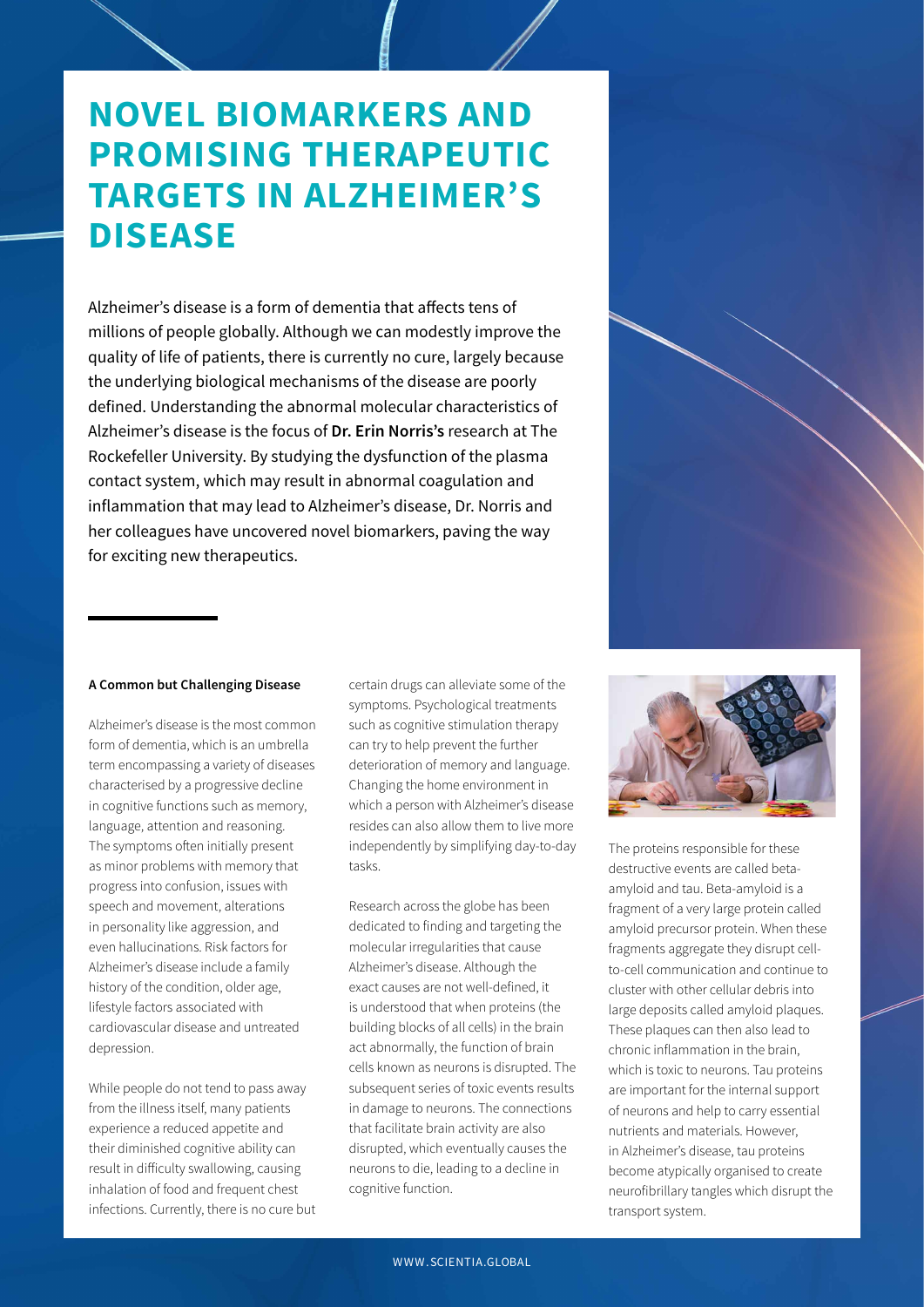## **NOVEL BIOMARKERS AND PROMISING THERAPEUTIC TARGETS IN ALZHEIMER'S DISEASE**

Alzheimer's disease is a form of dementia that affects tens of millions of people globally. Although we can modestly improve the quality of life of patients, there is currently no cure, largely because the underlying biological mechanisms of the disease are poorly defined. Understanding the abnormal molecular characteristics of Alzheimer's disease is the focus of **Dr. Erin Norris's** research at The Rockefeller University. By studying the dysfunction of the plasma contact system, which may result in abnormal coagulation and inflammation that may lead to Alzheimer's disease, Dr. Norris and her colleagues have uncovered novel biomarkers, paving the way for exciting new therapeutics.



#### **A Common but Challenging Disease**

Alzheimer's disease is the most common form of dementia, which is an umbrella term encompassing a variety of diseases characterised by a progressive decline in cognitive functions such as memory, language, attention and reasoning. The symptoms often initially present as minor problems with memory that progress into confusion, issues with speech and movement, alterations in personality like aggression, and even hallucinations. Risk factors for Alzheimer's disease include a family history of the condition, older age, lifestyle factors associated with cardiovascular disease and untreated depression.

While people do not tend to pass away from the illness itself, many patients experience a reduced appetite and their diminished cognitive ability can result in difficulty swallowing, causing inhalation of food and frequent chest infections. Currently, there is no cure but certain drugs can alleviate some of the symptoms. Psychological treatments such as cognitive stimulation therapy can try to help prevent the further deterioration of memory and language. Changing the home environment in which a person with Alzheimer's disease resides can also allow them to live more independently by simplifying day-to-day tasks.

Research across the globe has been dedicated to finding and targeting the molecular irregularities that cause Alzheimer's disease. Although the exact causes are not well-defined, it is understood that when proteins (the building blocks of all cells) in the brain act abnormally, the function of brain cells known as neurons is disrupted. The subsequent series of toxic events results in damage to neurons. The connections that facilitate brain activity are also disrupted, which eventually causes the neurons to die, leading to a decline in cognitive function.



The proteins responsible for these destructive events are called betaamyloid and tau. Beta-amyloid is a fragment of a very large protein called amyloid precursor protein. When these fragments aggregate they disrupt cellto-cell communication and continue to cluster with other cellular debris into large deposits called amyloid plaques. These plaques can then also lead to chronic inflammation in the brain, which is toxic to neurons. Tau proteins are important for the internal support of neurons and help to carry essential nutrients and materials. However, in Alzheimer's disease, tau proteins become atypically organised to create neurofibrillary tangles which disrupt the transport system.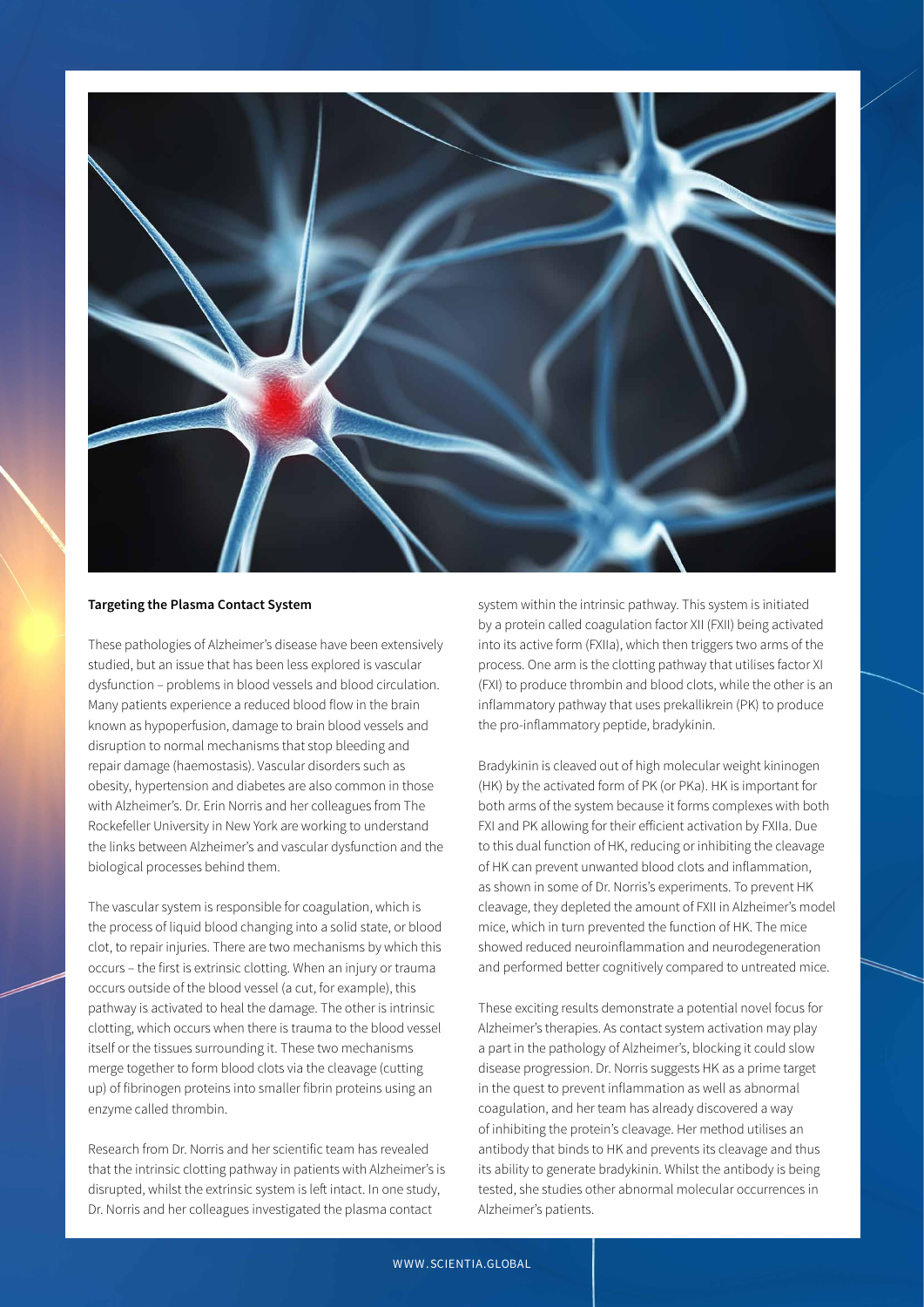

#### **Targeting the Plasma Contact System**

These pathologies of Alzheimer's disease have been extensively studied, but an issue that has been less explored is vascular dysfunction – problems in blood vessels and blood circulation. Many patients experience a reduced blood flow in the brain known as hypoperfusion, damage to brain blood vessels and disruption to normal mechanisms that stop bleeding and repair damage (haemostasis). Vascular disorders such as obesity, hypertension and diabetes are also common in those with Alzheimer's. Dr. Erin Norris and her colleagues from The Rockefeller University in New York are working to understand the links between Alzheimer's and vascular dysfunction and the biological processes behind them.

The vascular system is responsible for coagulation, which is the process of liquid blood changing into a solid state, or blood clot, to repair injuries. There are two mechanisms by which this occurs – the first is extrinsic clotting. When an injury or trauma occurs outside of the blood vessel (a cut, for example), this pathway is activated to heal the damage. The other is intrinsic clotting, which occurs when there is trauma to the blood vessel itself or the tissues surrounding it. These two mechanisms merge together to form blood clots via the cleavage (cutting up) of fibrinogen proteins into smaller fibrin proteins using an enzyme called thrombin.

Research from Dr. Norris and her scientific team has revealed that the intrinsic clotting pathway in patients with Alzheimer's is disrupted, whilst the extrinsic system is left intact. In one study, Dr. Norris and her colleagues investigated the plasma contact

system within the intrinsic pathway. This system is initiated by a protein called coagulation factor XII (FXII) being activated into its active form (FXIIa), which then triggers two arms of the process. One arm is the clotting pathway that utilises factor XI (FXI) to produce thrombin and blood clots, while the other is an inflammatory pathway that uses prekallikrein (PK) to produce the pro-inflammatory peptide, bradykinin.

Bradykinin is cleaved out of high molecular weight kininogen (HK) by the activated form of PK (or PKa). HK is important for both arms of the system because it forms complexes with both FXI and PK allowing for their efficient activation by FXIIa. Due to this dual function of HK, reducing or inhibiting the cleavage of HK can prevent unwanted blood clots and inflammation, as shown in some of Dr. Norris's experiments. To prevent HK cleavage, they depleted the amount of FXII in Alzheimer's model mice, which in turn prevented the function of HK. The mice showed reduced neuroinflammation and neurodegeneration and performed better cognitively compared to untreated mice.

These exciting results demonstrate a potential novel focus for Alzheimer's therapies. As contact system activation may play a part in the pathology of Alzheimer's, blocking it could slow disease progression. Dr. Norris suggests HK as a prime target in the quest to prevent inflammation as well as abnormal coagulation, and her team has already discovered a way of inhibiting the protein's cleavage. Her method utilises an antibody that binds to HK and prevents its cleavage and thus its ability to generate bradykinin. Whilst the antibody is being tested, she studies other abnormal molecular occurrences in Alzheimer's patients.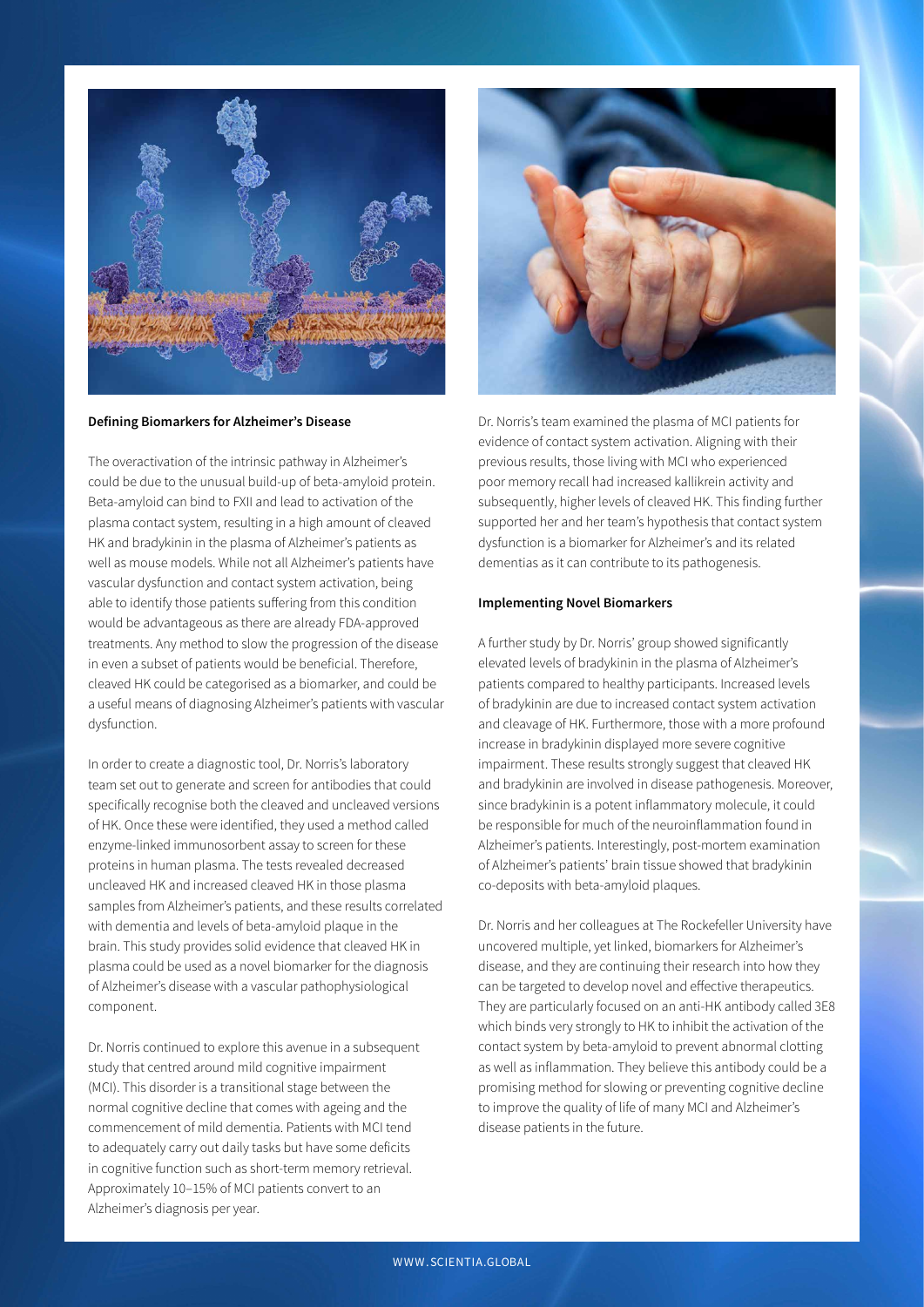

#### **Defining Biomarkers for Alzheimer's Disease**

The overactivation of the intrinsic pathway in Alzheimer's could be due to the unusual build-up of beta-amyloid protein. Beta-amyloid can bind to FXII and lead to activation of the plasma contact system, resulting in a high amount of cleaved HK and bradykinin in the plasma of Alzheimer's patients as well as mouse models. While not all Alzheimer's patients have vascular dysfunction and contact system activation, being able to identify those patients suffering from this condition would be advantageous as there are already FDA-approved treatments. Any method to slow the progression of the disease in even a subset of patients would be beneficial. Therefore, cleaved HK could be categorised as a biomarker, and could be a useful means of diagnosing Alzheimer's patients with vascular dysfunction.

In order to create a diagnostic tool, Dr. Norris's laboratory team set out to generate and screen for antibodies that could specifically recognise both the cleaved and uncleaved versions of HK. Once these were identified, they used a method called enzyme-linked immunosorbent assay to screen for these proteins in human plasma. The tests revealed decreased uncleaved HK and increased cleaved HK in those plasma samples from Alzheimer's patients, and these results correlated with dementia and levels of beta-amyloid plaque in the brain. This study provides solid evidence that cleaved HK in plasma could be used as a novel biomarker for the diagnosis of Alzheimer's disease with a vascular pathophysiological component.

Dr. Norris continued to explore this avenue in a subsequent study that centred around mild cognitive impairment (MCI). This disorder is a transitional stage between the normal cognitive decline that comes with ageing and the commencement of mild dementia. Patients with MCI tend to adequately carry out daily tasks but have some deficits in cognitive function such as short-term memory retrieval. Approximately 10–15% of MCI patients convert to an Alzheimer's diagnosis per year.



Dr. Norris's team examined the plasma of MCI patients for evidence of contact system activation. Aligning with their previous results, those living with MCI who experienced poor memory recall had increased kallikrein activity and subsequently, higher levels of cleaved HK. This finding further supported her and her team's hypothesis that contact system dysfunction is a biomarker for Alzheimer's and its related dementias as it can contribute to its pathogenesis.

#### **Implementing Novel Biomarkers**

A further study by Dr. Norris' group showed significantly elevated levels of bradykinin in the plasma of Alzheimer's patients compared to healthy participants. Increased levels of bradykinin are due to increased contact system activation and cleavage of HK. Furthermore, those with a more profound increase in bradykinin displayed more severe cognitive impairment. These results strongly suggest that cleaved HK and bradykinin are involved in disease pathogenesis. Moreover, since bradykinin is a potent inflammatory molecule, it could be responsible for much of the neuroinflammation found in Alzheimer's patients. Interestingly, post-mortem examination of Alzheimer's patients' brain tissue showed that bradykinin co-deposits with beta-amyloid plaques.

Dr. Norris and her colleagues at The Rockefeller University have uncovered multiple, yet linked, biomarkers for Alzheimer's disease, and they are continuing their research into how they can be targeted to develop novel and effective therapeutics. They are particularly focused on an anti-HK antibody called 3E8 which binds very strongly to HK to inhibit the activation of the contact system by beta-amyloid to prevent abnormal clotting as well as inflammation. They believe this antibody could be a promising method for slowing or preventing cognitive decline to improve the quality of life of many MCI and Alzheimer's disease patients in the future.